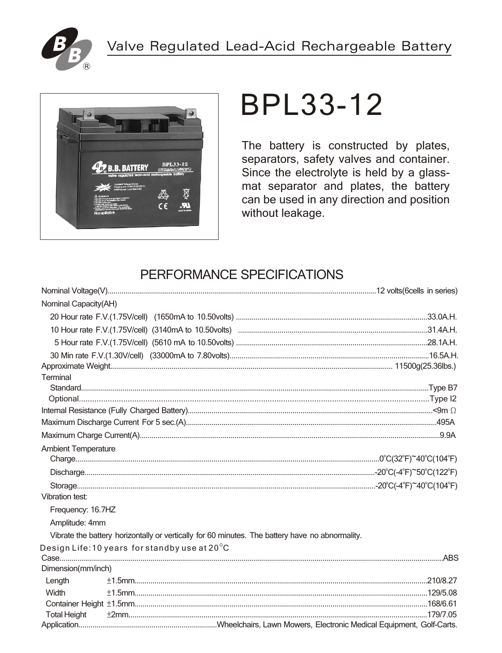



# **BPL33-12**

The battery is constructed by plates, separators, safety valves and container. Since the electrolyte is held by a glassmat separator and plates, the battery can be used in any direction and position without leakage.

## PERFORMANCE SPECIFICATIONS

| Nominal Capacity(AH)       |                                                                                                 |  |
|----------------------------|-------------------------------------------------------------------------------------------------|--|
|                            |                                                                                                 |  |
|                            |                                                                                                 |  |
|                            |                                                                                                 |  |
|                            |                                                                                                 |  |
|                            |                                                                                                 |  |
| Terminal                   |                                                                                                 |  |
|                            |                                                                                                 |  |
|                            |                                                                                                 |  |
|                            |                                                                                                 |  |
|                            |                                                                                                 |  |
|                            |                                                                                                 |  |
| <b>Ambient Temperature</b> |                                                                                                 |  |
|                            |                                                                                                 |  |
|                            |                                                                                                 |  |
|                            |                                                                                                 |  |
| Vibration test:            |                                                                                                 |  |
| Frequency: 16.7HZ          |                                                                                                 |  |
| Amplitude: 4mm             |                                                                                                 |  |
|                            | Vibrate the battery horizontally or vertically for 60 minutes. The battery have no abnormality. |  |
|                            | Design Life: $10$ years for standby use at $20^{\circ}$ C                                       |  |
|                            |                                                                                                 |  |
| Dimension(mm/inch)         |                                                                                                 |  |
| Length                     |                                                                                                 |  |
| Width                      |                                                                                                 |  |
|                            |                                                                                                 |  |
| <b>Total Height</b>        |                                                                                                 |  |
|                            |                                                                                                 |  |